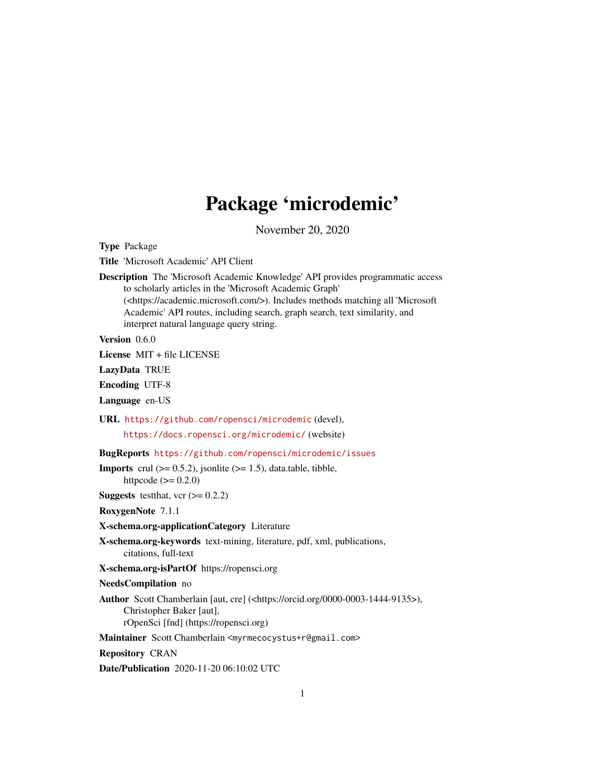## Package 'microdemic'

November 20, 2020

<span id="page-0-0"></span>Type Package

Title 'Microsoft Academic' API Client

Description The 'Microsoft Academic Knowledge' API provides programmatic access to scholarly articles in the 'Microsoft Academic Graph' (<https://academic.microsoft.com/>). Includes methods matching all 'Microsoft Academic' API routes, including search, graph search, text similarity, and interpret natural language query string.

Version 0.6.0

License MIT + file LICENSE

LazyData TRUE

Encoding UTF-8

Language en-US

URL <https://github.com/ropensci/microdemic> (devel),

<https://docs.ropensci.org/microdemic/> (website)

BugReports <https://github.com/ropensci/microdemic/issues>

**Imports** crul  $(>= 0.5.2)$ , jsonlite  $(>= 1.5)$ , data.table, tibble, httpcode  $(>= 0.2.0)$ 

**Suggests** testthat, vcr  $(>= 0.2.2)$ 

RoxygenNote 7.1.1

X-schema.org-applicationCategory Literature

X-schema.org-keywords text-mining, literature, pdf, xml, publications, citations, full-text

X-schema.org-isPartOf https://ropensci.org

NeedsCompilation no

Author Scott Chamberlain [aut, cre] (<https://orcid.org/0000-0003-1444-9135>), Christopher Baker [aut], rOpenSci [fnd] (https://ropensci.org)

Maintainer Scott Chamberlain <myrmecocystus+r@gmail.com>

Repository CRAN

Date/Publication 2020-11-20 06:10:02 UTC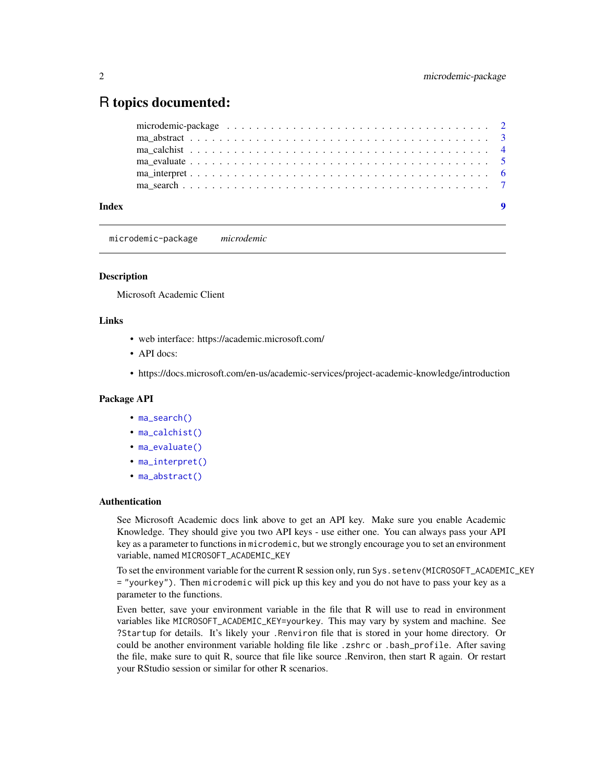### <span id="page-1-0"></span>R topics documented:

| Index |  |
|-------|--|

<span id="page-1-1"></span>microdemic-package *microdemic*

#### Description

Microsoft Academic Client

#### Links

- web interface: https://academic.microsoft.com/
- API docs:
- https://docs.microsoft.com/en-us/academic-services/project-academic-knowledge/introduction

#### Package API

- [ma\\_search\(\)](#page-6-1)
- [ma\\_calchist\(\)](#page-3-1)
- [ma\\_evaluate\(\)](#page-4-1)
- [ma\\_interpret\(\)](#page-5-1)
- [ma\\_abstract\(\)](#page-2-1)

#### Authentication

See Microsoft Academic docs link above to get an API key. Make sure you enable Academic Knowledge. They should give you two API keys - use either one. You can always pass your API key as a parameter to functions in microdemic, but we strongly encourage you to set an environment variable, named MICROSOFT\_ACADEMIC\_KEY

To set the environment variable for the current R session only, run Sys.setenv(MICROSOFT\_ACADEMIC\_KEY = "yourkey"). Then microdemic will pick up this key and you do not have to pass your key as a parameter to the functions.

Even better, save your environment variable in the file that R will use to read in environment variables like MICROSOFT\_ACADEMIC\_KEY=yourkey. This may vary by system and machine. See ?Startup for details. It's likely your .Renviron file that is stored in your home directory. Or could be another environment variable holding file like .zshrc or .bash\_profile. After saving the file, make sure to quit R, source that file like source .Renviron, then start R again. Or restart your RStudio session or similar for other R scenarios.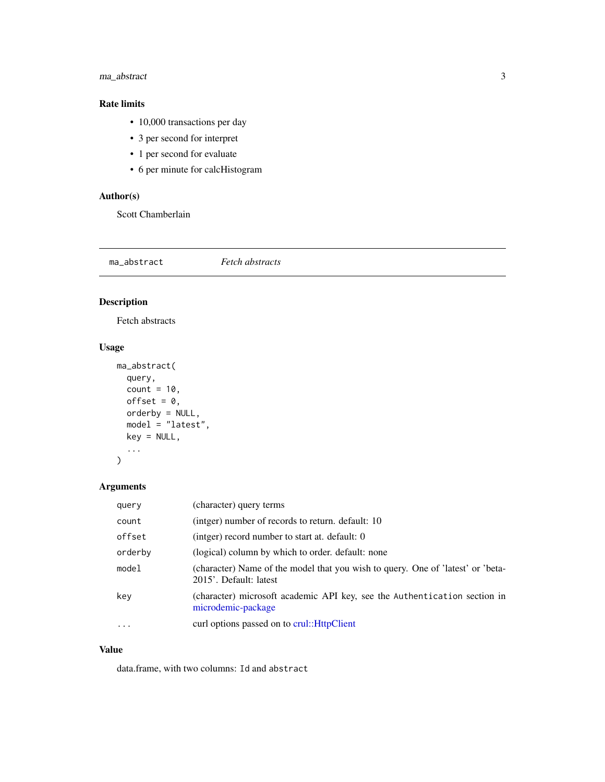#### <span id="page-2-0"></span>ma\_abstract 3

#### Rate limits

- 10,000 transactions per day
- 3 per second for interpret
- 1 per second for evaluate
- 6 per minute for calcHistogram

#### Author(s)

Scott Chamberlain

<span id="page-2-1"></span>ma\_abstract *Fetch abstracts*

#### Description

Fetch abstracts

#### Usage

```
ma_abstract(
  query,
  count = 10,
  offset = 0,
  orderby = NULL,
  model = "latest",
  key = NULL,
  ...
)
```
#### Arguments

| query               | (character) query terms                                                                                   |
|---------------------|-----------------------------------------------------------------------------------------------------------|
| count               | (intger) number of records to return, default: 10                                                         |
| offset              | (intger) record number to start at. default: 0                                                            |
| orderby             | (logical) column by which to order. default: none                                                         |
| model               | (character) Name of the model that you wish to query. One of 'latest' or 'beta-<br>2015'. Default: latest |
| key                 | (character) microsoft academic API key, see the Authentication section in<br>microdemic-package           |
| $\cdot \cdot \cdot$ | curl options passed on to crul:: HttpClient                                                               |

#### Value

data.frame, with two columns: Id and abstract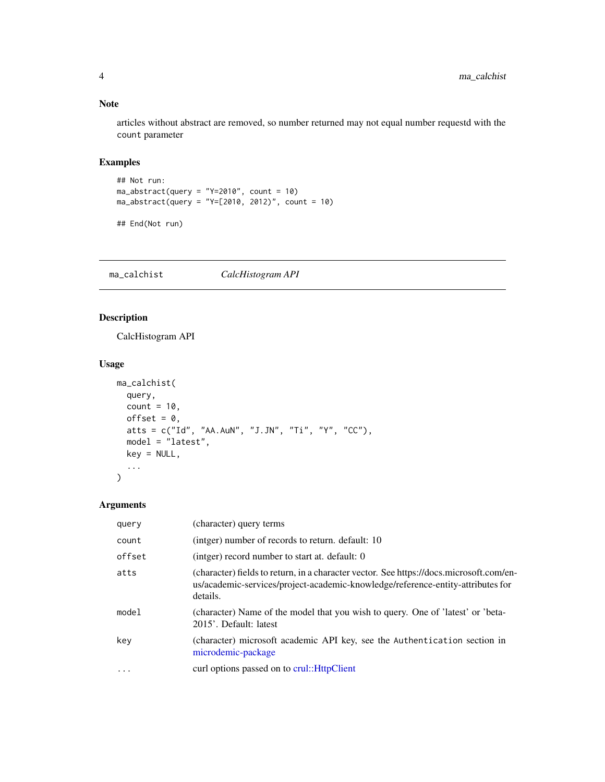#### Note

articles without abstract are removed, so number returned may not equal number requestd with the count parameter

#### Examples

```
## Not run:
ma_abstract(query = "Y=2010", count = 10)
ma_abstract(query = "Y=[2010, 2012)", count = 10)
```

```
## End(Not run)
```
<span id="page-3-1"></span>ma\_calchist *CalcHistogram API*

#### Description

CalcHistogram API

#### Usage

```
ma_calchist(
  query,
  count = 10,
  offset = 0,
  atts = c("Id", "AA.AuN", "J.JN", "Ti", "Y", "CC"),
  model = "latest",
  key = NULL,
  ...
)
```
#### Arguments

| query    | (character) query terms                                                                                                                                                                |
|----------|----------------------------------------------------------------------------------------------------------------------------------------------------------------------------------------|
| count    | (intger) number of records to return. default: 10                                                                                                                                      |
| offset   | (intger) record number to start at. default: 0                                                                                                                                         |
| atts     | (character) fields to return, in a character vector. See https://docs.microsoft.com/en-<br>us/academic-services/project-academic-knowledge/reference-entity-attributes for<br>details. |
| model    | (character) Name of the model that you wish to query. One of 'latest' or 'beta-<br>2015'. Default: latest                                                                              |
| key      | (character) microsoft academic API key, see the Authentication section in<br>microdemic-package                                                                                        |
| $\cdots$ | curl options passed on to crul::HttpClient                                                                                                                                             |

<span id="page-3-0"></span>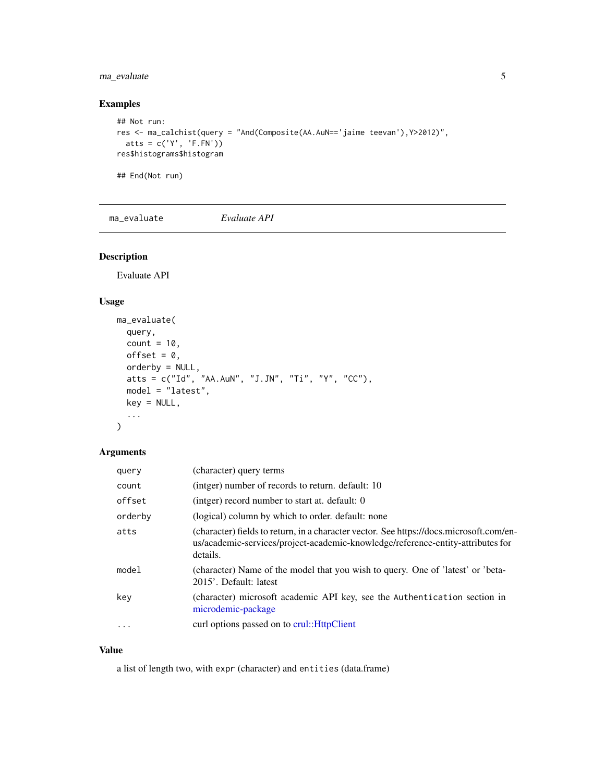#### <span id="page-4-0"></span>ma\_evaluate 5

#### Examples

```
## Not run:
res <- ma_calchist(query = "And(Composite(AA.AuN=='jaime teevan'),Y>2012)",
  atts = c('Y', 'F.FN'))res$histograms$histogram
```
## End(Not run)

<span id="page-4-1"></span>ma\_evaluate *Evaluate API*

#### Description

Evaluate API

#### Usage

```
ma_evaluate(
 query,
 count = 10,
 offset = 0,
 orderby = NULL,atts = c("Id", "AA.AuN", "J.JN", "Ti", "Y", "CC"),
 model = "latest",
 key = NULL,
  ...
)
```
#### Arguments

| query     | (character) query terms                                                                                                                                                                |
|-----------|----------------------------------------------------------------------------------------------------------------------------------------------------------------------------------------|
| count     | (intger) number of records to return. default: 10                                                                                                                                      |
| offset    | (intger) record number to start at. default: 0                                                                                                                                         |
| orderby   | (logical) column by which to order. default: none                                                                                                                                      |
| atts      | (character) fields to return, in a character vector. See https://docs.microsoft.com/en-<br>us/academic-services/project-academic-knowledge/reference-entity-attributes for<br>details. |
| model     | (character) Name of the model that you wish to query. One of 'latest' or 'beta-<br>2015'. Default: latest                                                                              |
| key       | (character) microsoft academic API key, see the Authentication section in<br>microdemic-package                                                                                        |
| $\ddotsc$ | curl options passed on to crul:: HttpClient                                                                                                                                            |

#### Value

a list of length two, with expr (character) and entities (data.frame)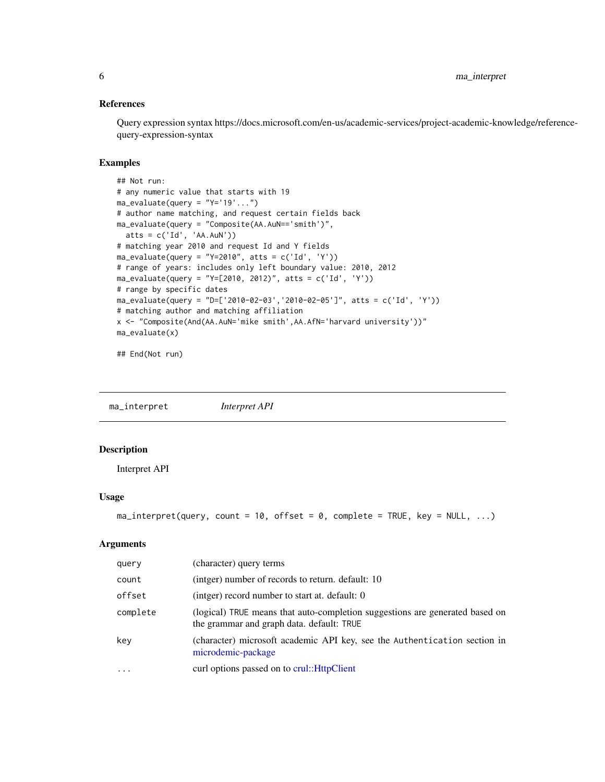#### <span id="page-5-0"></span>References

Query expression syntax https://docs.microsoft.com/en-us/academic-services/project-academic-knowledge/referencequery-expression-syntax

#### Examples

```
## Not run:
# any numeric value that starts with 19
ma<sub>evaluate(query = "Y='19'...")</sub>
# author name matching, and request certain fields back
ma_evaluate(query = "Composite(AA.AuN=='smith')",
  atts = c('Id', 'AA.AuN'))
# matching year 2010 and request Id and Y fields
ma\_evaluate(query = "Y=2010", atts = c('Id', 'Y'))# range of years: includes only left boundary value: 2010, 2012
ma\_evaluate(query = "Y=[2010, 2012)", atts = c('Id', 'Y'))# range by specific dates
ma_{\text{}evaluate(query = "D=['2010-02-03', '2010-02-05']", atts = c('Id', 'Y'))# matching author and matching affiliation
x <- "Composite(And(AA.AuN='mike smith',AA.AfN='harvard university'))"
ma_evaluate(x)
```
## End(Not run)

<span id="page-5-1"></span>ma\_interpret *Interpret API*

#### Description

Interpret API

#### Usage

```
ma\_interpret(query, count = 10, offset = 0, complete = TRUE, key = NULL, ...)
```
#### Arguments

| query    | (character) query terms                                                                                                   |
|----------|---------------------------------------------------------------------------------------------------------------------------|
| count    | (intger) number of records to return. default: 10                                                                         |
| offset   | (intger) record number to start at. default: 0                                                                            |
| complete | (logical) TRUE means that auto-completion suggestions are generated based on<br>the grammar and graph data. default: TRUE |
| key      | (character) microsoft academic API key, see the Authentication section in<br>microdemic-package                           |
| $\cdot$  | curl options passed on to crul:: HttpClient                                                                               |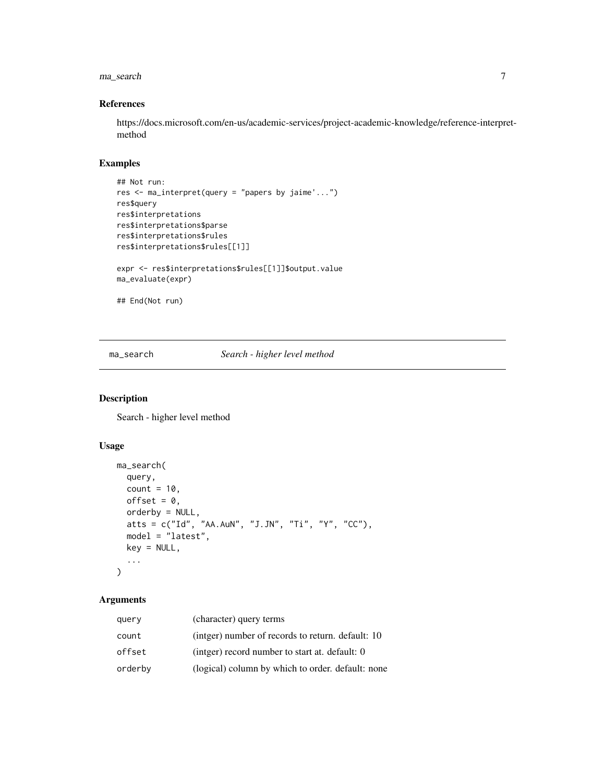#### <span id="page-6-0"></span>ma\_search 7

#### References

https://docs.microsoft.com/en-us/academic-services/project-academic-knowledge/reference-interpretmethod

#### Examples

```
## Not run:
res <- ma_interpret(query = "papers by jaime'...")
res$query
res$interpretations
res$interpretations$parse
res$interpretations$rules
res$interpretations$rules[[1]]
expr <- res$interpretations$rules[[1]]$output.value
ma_evaluate(expr)
```
## End(Not run)

<span id="page-6-1"></span>ma\_search *Search - higher level method*

#### Description

Search - higher level method

#### Usage

```
ma_search(
  query,
  count = 10,
  offset = 0,
  orderby = NULL,
  atts = c("Id", "AA.AuN", "J.JN", "Ti", "Y", "CC"),
  model = "latest",
  key = NULL,
  ...
\mathcal{L}
```
#### Arguments

| query   | (character) query terms                           |
|---------|---------------------------------------------------|
| count   | (intger) number of records to return. default: 10 |
| offset  | (intger) record number to start at. default: 0    |
| orderby | (logical) column by which to order. default: none |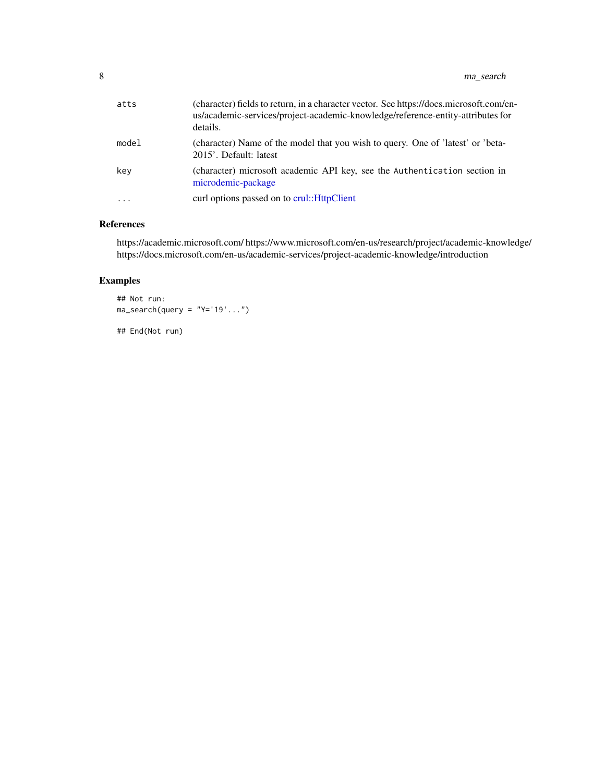<span id="page-7-0"></span>

| atts    | (character) fields to return, in a character vector. See https://docs.microsoft.com/en-<br>us/academic-services/project-academic-knowledge/reference-entity-attributes for<br>details. |
|---------|----------------------------------------------------------------------------------------------------------------------------------------------------------------------------------------|
| model   | (character) Name of the model that you wish to query. One of 'latest' or 'beta-<br>2015'. Default: latest                                                                              |
| key     | (character) microsoft academic API key, see the Authentication section in<br>microdemic-package                                                                                        |
| $\cdot$ | curl options passed on to crul:: HttpClient                                                                                                                                            |

#### References

https://academic.microsoft.com/ https://www.microsoft.com/en-us/research/project/academic-knowledge/ https://docs.microsoft.com/en-us/academic-services/project-academic-knowledge/introduction

#### Examples

```
## Not run:
ma\_search(query = "Y='19". . . .")
```
## End(Not run)